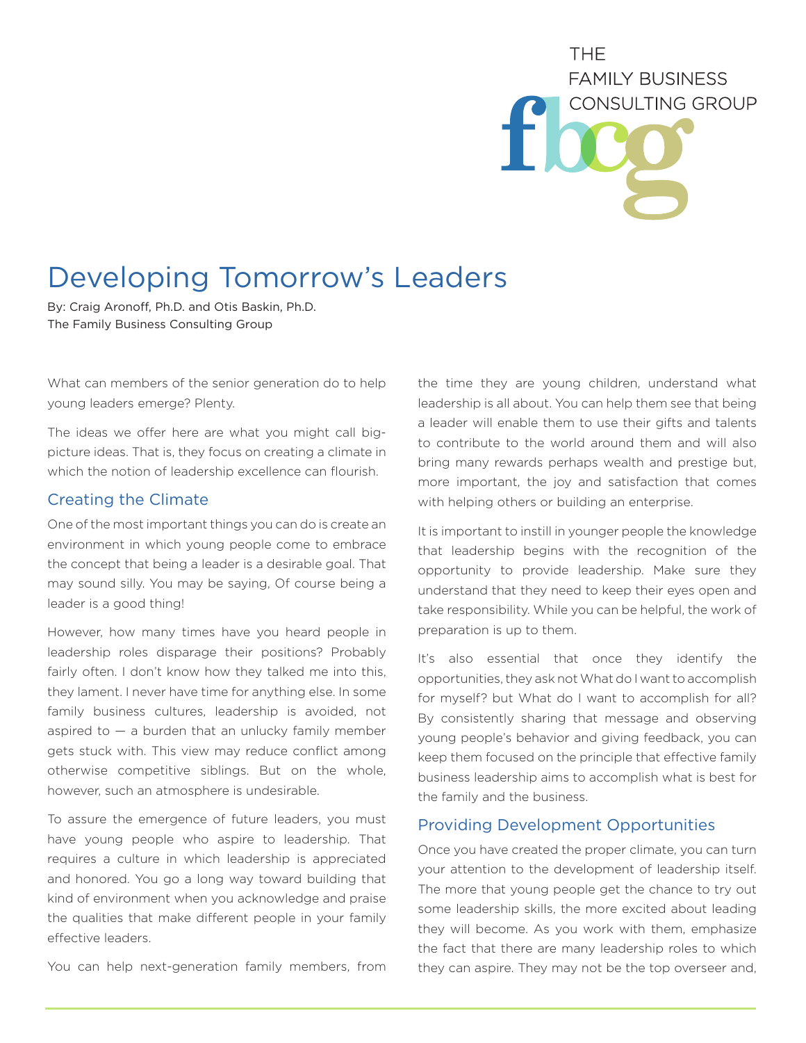# THF. **FAMILY BUSINESS** CONSULTING GROUP

## Developing Tomorrow's Leaders

By: Craig Aronoff, Ph.D. and Otis Baskin, Ph.D. The Family Business Consulting Group

What can members of the senior generation do to help young leaders emerge? Plenty.

The ideas we offer here are what you might call bigpicture ideas. That is, they focus on creating a climate in which the notion of leadership excellence can flourish.

### Creating the Climate

One of the most important things you can do is create an environment in which young people come to embrace the concept that being a leader is a desirable goal. That may sound silly. You may be saying, Of course being a leader is a good thing!

However, how many times have you heard people in leadership roles disparage their positions? Probably fairly often. I don't know how they talked me into this, they lament. I never have time for anything else. In some family business cultures, leadership is avoided, not aspired to  $-$  a burden that an unlucky family member gets stuck with. This view may reduce conflict among otherwise competitive siblings. But on the whole, however, such an atmosphere is undesirable.

To assure the emergence of future leaders, you must have young people who aspire to leadership. That requires a culture in which leadership is appreciated and honored. You go a long way toward building that kind of environment when you acknowledge and praise the qualities that make different people in your family effective leaders.

You can help next-generation family members, from

the time they are young children, understand what leadership is all about. You can help them see that being a leader will enable them to use their gifts and talents to contribute to the world around them and will also bring many rewards perhaps wealth and prestige but, more important, the joy and satisfaction that comes with helping others or building an enterprise.

It is important to instill in younger people the knowledge that leadership begins with the recognition of the opportunity to provide leadership. Make sure they understand that they need to keep their eyes open and take responsibility. While you can be helpful, the work of preparation is up to them.

It's also essential that once they identify the opportunities, they ask not What do I want to accomplish for myself? but What do I want to accomplish for all? By consistently sharing that message and observing young people's behavior and giving feedback, you can keep them focused on the principle that effective family business leadership aims to accomplish what is best for the family and the business.

### Providing Development Opportunities

Once you have created the proper climate, you can turn your attention to the development of leadership itself. The more that young people get the chance to try out some leadership skills, the more excited about leading they will become. As you work with them, emphasize the fact that there are many leadership roles to which they can aspire. They may not be the top overseer and,